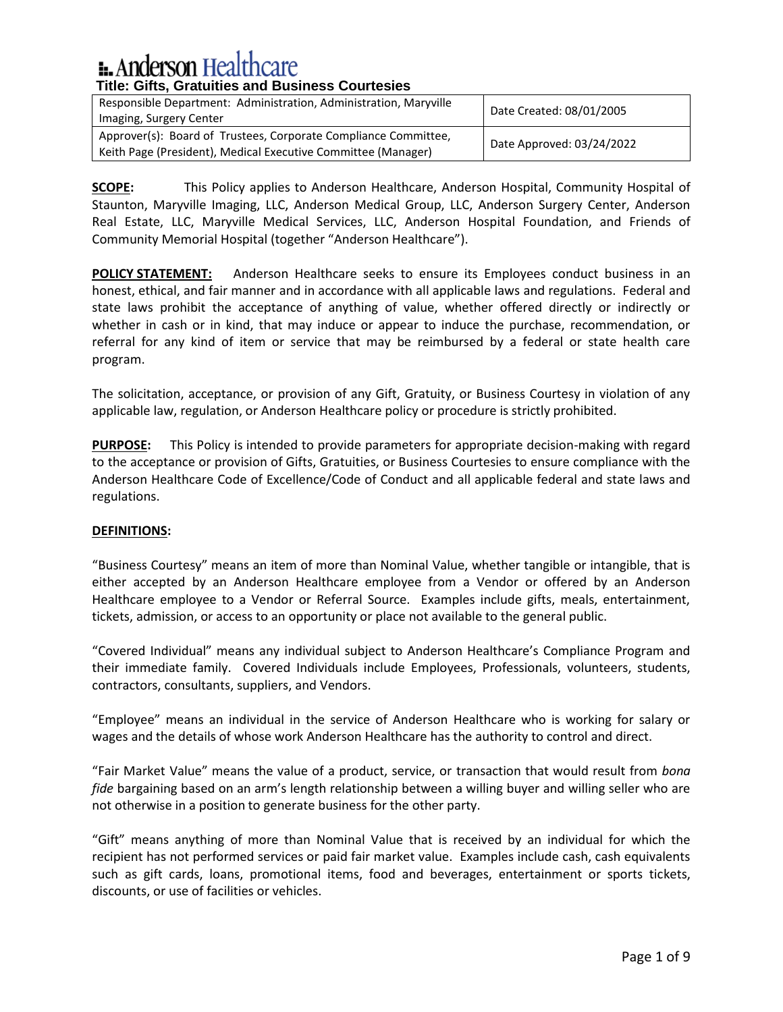| Responsible Department: Administration, Administration, Maryville<br>Imaging, Surgery Center                                     | Date Created: 08/01/2005  |
|----------------------------------------------------------------------------------------------------------------------------------|---------------------------|
| Approver(s): Board of Trustees, Corporate Compliance Committee,<br>Keith Page (President), Medical Executive Committee (Manager) | Date Approved: 03/24/2022 |

**SCOPE:** This Policy applies to Anderson Healthcare, Anderson Hospital, Community Hospital of Staunton, Maryville Imaging, LLC, Anderson Medical Group, LLC, Anderson Surgery Center, Anderson Real Estate, LLC, Maryville Medical Services, LLC, Anderson Hospital Foundation, and Friends of Community Memorial Hospital (together "Anderson Healthcare").

**POLICY STATEMENT:** Anderson Healthcare seeks to ensure its Employees conduct business in an honest, ethical, and fair manner and in accordance with all applicable laws and regulations. Federal and state laws prohibit the acceptance of anything of value, whether offered directly or indirectly or whether in cash or in kind, that may induce or appear to induce the purchase, recommendation, or referral for any kind of item or service that may be reimbursed by a federal or state health care program.

The solicitation, acceptance, or provision of any Gift, Gratuity, or Business Courtesy in violation of any applicable law, regulation, or Anderson Healthcare policy or procedure is strictly prohibited.

**PURPOSE:** This Policy is intended to provide parameters for appropriate decision-making with regard to the acceptance or provision of Gifts, Gratuities, or Business Courtesies to ensure compliance with the Anderson Healthcare Code of Excellence/Code of Conduct and all applicable federal and state laws and regulations.

### **DEFINITIONS:**

"Business Courtesy" means an item of more than Nominal Value, whether tangible or intangible, that is either accepted by an Anderson Healthcare employee from a Vendor or offered by an Anderson Healthcare employee to a Vendor or Referral Source. Examples include gifts, meals, entertainment, tickets, admission, or access to an opportunity or place not available to the general public.

"Covered Individual" means any individual subject to Anderson Healthcare's Compliance Program and their immediate family. Covered Individuals include Employees, Professionals, volunteers, students, contractors, consultants, suppliers, and Vendors.

"Employee" means an individual in the service of Anderson Healthcare who is working for salary or wages and the details of whose work Anderson Healthcare has the authority to control and direct.

"Fair Market Value" means the value of a product, service, or transaction that would result from *bona fide* bargaining based on an arm's length relationship between a willing buyer and willing seller who are not otherwise in a position to generate business for the other party.

"Gift" means anything of more than Nominal Value that is received by an individual for which the recipient has not performed services or paid fair market value. Examples include cash, cash equivalents such as gift cards, loans, promotional items, food and beverages, entertainment or sports tickets, discounts, or use of facilities or vehicles.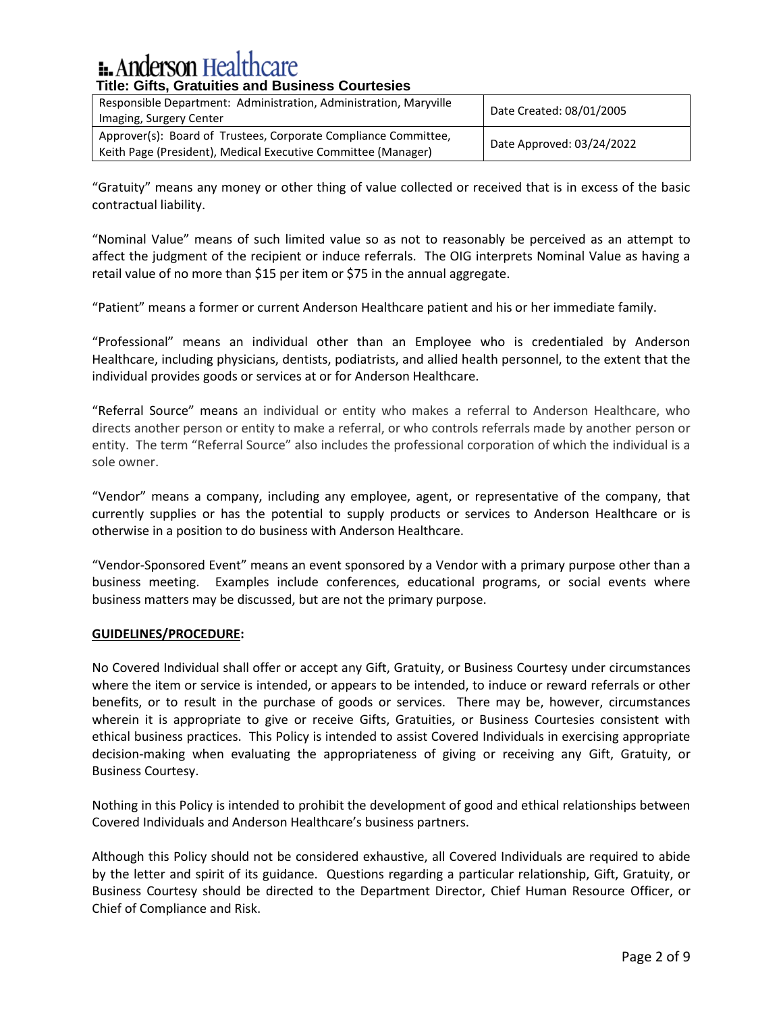| Responsible Department: Administration, Administration, Maryville<br>Imaging, Surgery Center                                     | Date Created: 08/01/2005  |
|----------------------------------------------------------------------------------------------------------------------------------|---------------------------|
| Approver(s): Board of Trustees, Corporate Compliance Committee,<br>Keith Page (President), Medical Executive Committee (Manager) | Date Approved: 03/24/2022 |

"Gratuity" means any money or other thing of value collected or received that is in excess of the basic contractual liability.

"Nominal Value" means of such limited value so as not to reasonably be perceived as an attempt to affect the judgment of the recipient or induce referrals. The OIG interprets Nominal Value as having a retail value of no more than \$15 per item or \$75 in the annual aggregate.

"Patient" means a former or current Anderson Healthcare patient and his or her immediate family.

"Professional" means an individual other than an Employee who is credentialed by Anderson Healthcare, including physicians, dentists, podiatrists, and allied health personnel, to the extent that the individual provides goods or services at or for Anderson Healthcare.

"Referral Source" means an individual or entity who makes a referral to Anderson Healthcare, who directs another person or entity to make a referral, or who controls referrals made by another person or entity. The term "Referral Source" also includes the professional corporation of which the individual is a sole owner.

"Vendor" means a company, including any employee, agent, or representative of the company, that currently supplies or has the potential to supply products or services to Anderson Healthcare or is otherwise in a position to do business with Anderson Healthcare.

"Vendor-Sponsored Event" means an event sponsored by a Vendor with a primary purpose other than a business meeting. Examples include conferences, educational programs, or social events where business matters may be discussed, but are not the primary purpose.

### **GUIDELINES/PROCEDURE:**

No Covered Individual shall offer or accept any Gift, Gratuity, or Business Courtesy under circumstances where the item or service is intended, or appears to be intended, to induce or reward referrals or other benefits, or to result in the purchase of goods or services. There may be, however, circumstances wherein it is appropriate to give or receive Gifts, Gratuities, or Business Courtesies consistent with ethical business practices. This Policy is intended to assist Covered Individuals in exercising appropriate decision-making when evaluating the appropriateness of giving or receiving any Gift, Gratuity, or Business Courtesy.

Nothing in this Policy is intended to prohibit the development of good and ethical relationships between Covered Individuals and Anderson Healthcare's business partners.

Although this Policy should not be considered exhaustive, all Covered Individuals are required to abide by the letter and spirit of its guidance. Questions regarding a particular relationship, Gift, Gratuity, or Business Courtesy should be directed to the Department Director, Chief Human Resource Officer, or Chief of Compliance and Risk.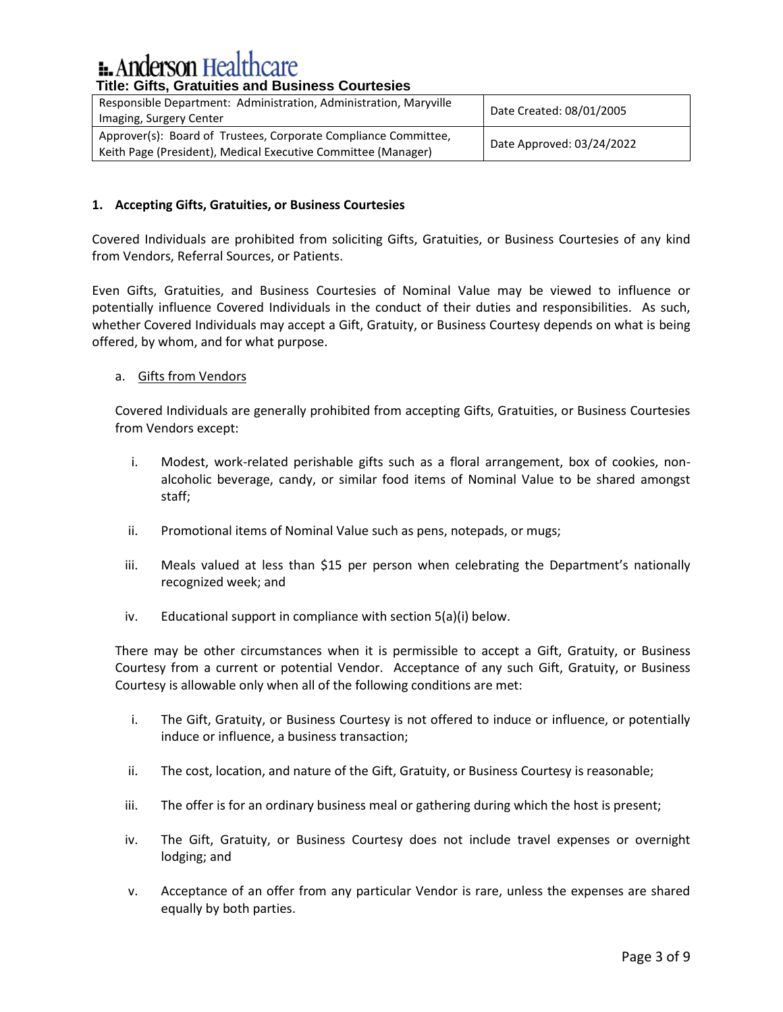| Responsible Department: Administration, Administration, Maryville<br>Imaging, Surgery Center                                     | Date Created: 08/01/2005  |
|----------------------------------------------------------------------------------------------------------------------------------|---------------------------|
| Approver(s): Board of Trustees, Corporate Compliance Committee,<br>Keith Page (President), Medical Executive Committee (Manager) | Date Approved: 03/24/2022 |

# **1. Accepting Gifts, Gratuities, or Business Courtesies**

Covered Individuals are prohibited from soliciting Gifts, Gratuities, or Business Courtesies of any kind from Vendors, Referral Sources, or Patients.

Even Gifts, Gratuities, and Business Courtesies of Nominal Value may be viewed to influence or potentially influence Covered Individuals in the conduct of their duties and responsibilities. As such, whether Covered Individuals may accept a Gift, Gratuity, or Business Courtesy depends on what is being offered, by whom, and for what purpose.

# a. Gifts from Vendors

Covered Individuals are generally prohibited from accepting Gifts, Gratuities, or Business Courtesies from Vendors except:

- i. Modest, work-related perishable gifts such as a floral arrangement, box of cookies, nonalcoholic beverage, candy, or similar food items of Nominal Value to be shared amongst staff;
- ii. Promotional items of Nominal Value such as pens, notepads, or mugs;
- iii. Meals valued at less than \$15 per person when celebrating the Department's nationally recognized week; and
- iv. Educational support in compliance with section 5(a)(i) below.

There may be other circumstances when it is permissible to accept a Gift, Gratuity, or Business Courtesy from a current or potential Vendor. Acceptance of any such Gift, Gratuity, or Business Courtesy is allowable only when all of the following conditions are met:

- i. The Gift, Gratuity, or Business Courtesy is not offered to induce or influence, or potentially induce or influence, a business transaction;
- ii. The cost, location, and nature of the Gift, Gratuity, or Business Courtesy is reasonable;
- iii. The offer is for an ordinary business meal or gathering during which the host is present;
- iv. The Gift, Gratuity, or Business Courtesy does not include travel expenses or overnight lodging; and
- v. Acceptance of an offer from any particular Vendor is rare, unless the expenses are shared equally by both parties.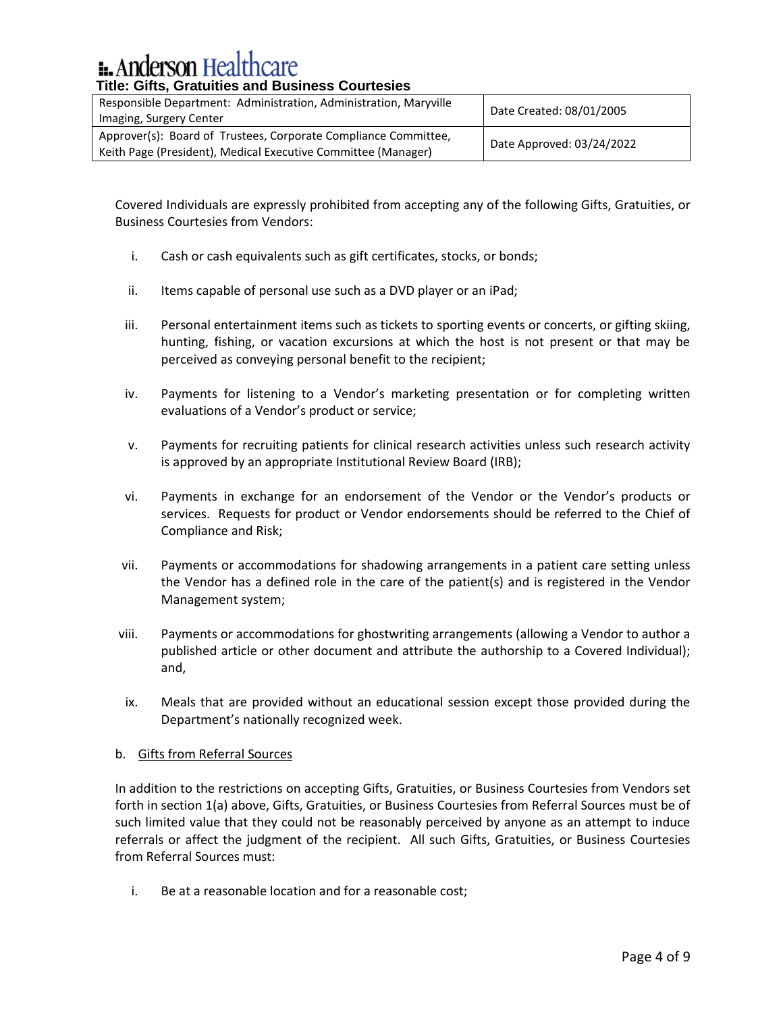| Responsible Department: Administration, Administration, Maryville<br>Imaging, Surgery Center                                     | Date Created: 08/01/2005  |
|----------------------------------------------------------------------------------------------------------------------------------|---------------------------|
| Approver(s): Board of Trustees, Corporate Compliance Committee,<br>Keith Page (President), Medical Executive Committee (Manager) | Date Approved: 03/24/2022 |

Covered Individuals are expressly prohibited from accepting any of the following Gifts, Gratuities, or Business Courtesies from Vendors:

- i. Cash or cash equivalents such as gift certificates, stocks, or bonds;
- ii. Items capable of personal use such as a DVD player or an iPad;
- iii. Personal entertainment items such as tickets to sporting events or concerts, or gifting skiing, hunting, fishing, or vacation excursions at which the host is not present or that may be perceived as conveying personal benefit to the recipient;
- iv. Payments for listening to a Vendor's marketing presentation or for completing written evaluations of a Vendor's product or service;
- v. Payments for recruiting patients for clinical research activities unless such research activity is approved by an appropriate Institutional Review Board (IRB);
- vi. Payments in exchange for an endorsement of the Vendor or the Vendor's products or services. Requests for product or Vendor endorsements should be referred to the Chief of Compliance and Risk;
- vii. Payments or accommodations for shadowing arrangements in a patient care setting unless the Vendor has a defined role in the care of the patient(s) and is registered in the Vendor Management system;
- viii. Payments or accommodations for ghostwriting arrangements (allowing a Vendor to author a published article or other document and attribute the authorship to a Covered Individual); and,
- ix. Meals that are provided without an educational session except those provided during the Department's nationally recognized week.

# b. Gifts from Referral Sources

In addition to the restrictions on accepting Gifts, Gratuities, or Business Courtesies from Vendors set forth in section 1(a) above, Gifts, Gratuities, or Business Courtesies from Referral Sources must be of such limited value that they could not be reasonably perceived by anyone as an attempt to induce referrals or affect the judgment of the recipient. All such Gifts, Gratuities, or Business Courtesies from Referral Sources must:

i. Be at a reasonable location and for a reasonable cost;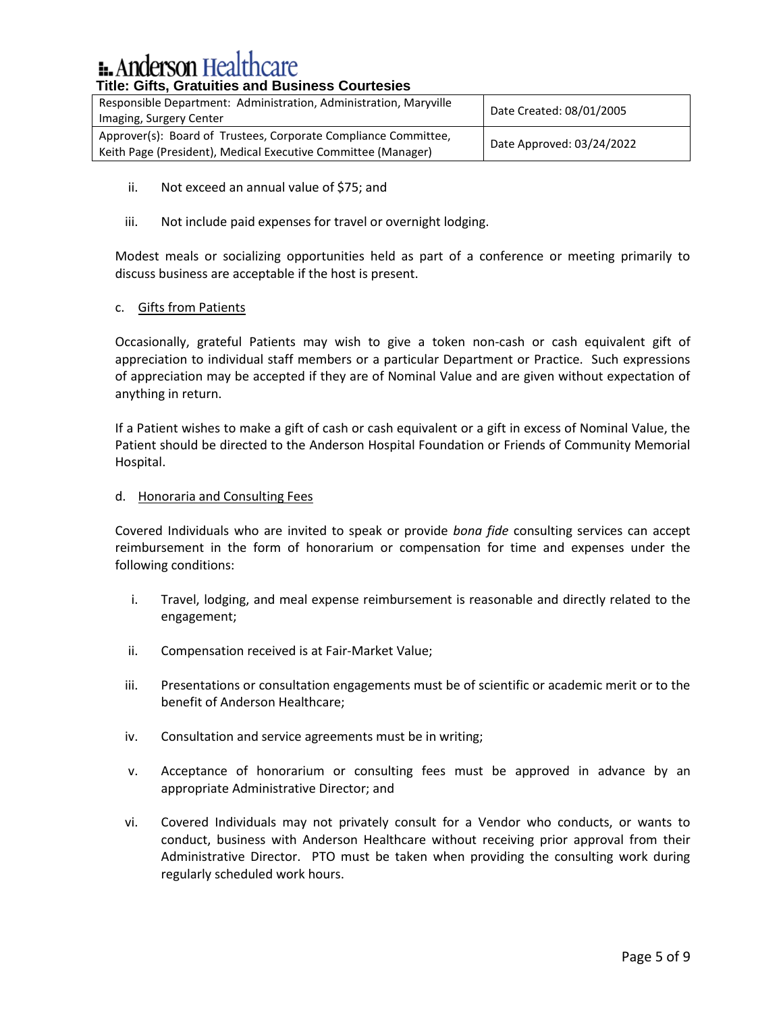| Responsible Department: Administration, Administration, Maryville<br>Imaging, Surgery Center                                     | Date Created: 08/01/2005  |
|----------------------------------------------------------------------------------------------------------------------------------|---------------------------|
| Approver(s): Board of Trustees, Corporate Compliance Committee,<br>Keith Page (President), Medical Executive Committee (Manager) | Date Approved: 03/24/2022 |

- ii. Not exceed an annual value of \$75; and
- iii. Not include paid expenses for travel or overnight lodging.

Modest meals or socializing opportunities held as part of a conference or meeting primarily to discuss business are acceptable if the host is present.

# c. Gifts from Patients

Occasionally, grateful Patients may wish to give a token non-cash or cash equivalent gift of appreciation to individual staff members or a particular Department or Practice. Such expressions of appreciation may be accepted if they are of Nominal Value and are given without expectation of anything in return.

If a Patient wishes to make a gift of cash or cash equivalent or a gift in excess of Nominal Value, the Patient should be directed to the Anderson Hospital Foundation or Friends of Community Memorial Hospital.

# d. Honoraria and Consulting Fees

Covered Individuals who are invited to speak or provide *bona fide* consulting services can accept reimbursement in the form of honorarium or compensation for time and expenses under the following conditions:

- i. Travel, lodging, and meal expense reimbursement is reasonable and directly related to the engagement;
- ii. Compensation received is at Fair-Market Value;
- iii. Presentations or consultation engagements must be of scientific or academic merit or to the benefit of Anderson Healthcare;
- iv. Consultation and service agreements must be in writing;
- v. Acceptance of honorarium or consulting fees must be approved in advance by an appropriate Administrative Director; and
- vi. Covered Individuals may not privately consult for a Vendor who conducts, or wants to conduct, business with Anderson Healthcare without receiving prior approval from their Administrative Director. PTO must be taken when providing the consulting work during regularly scheduled work hours.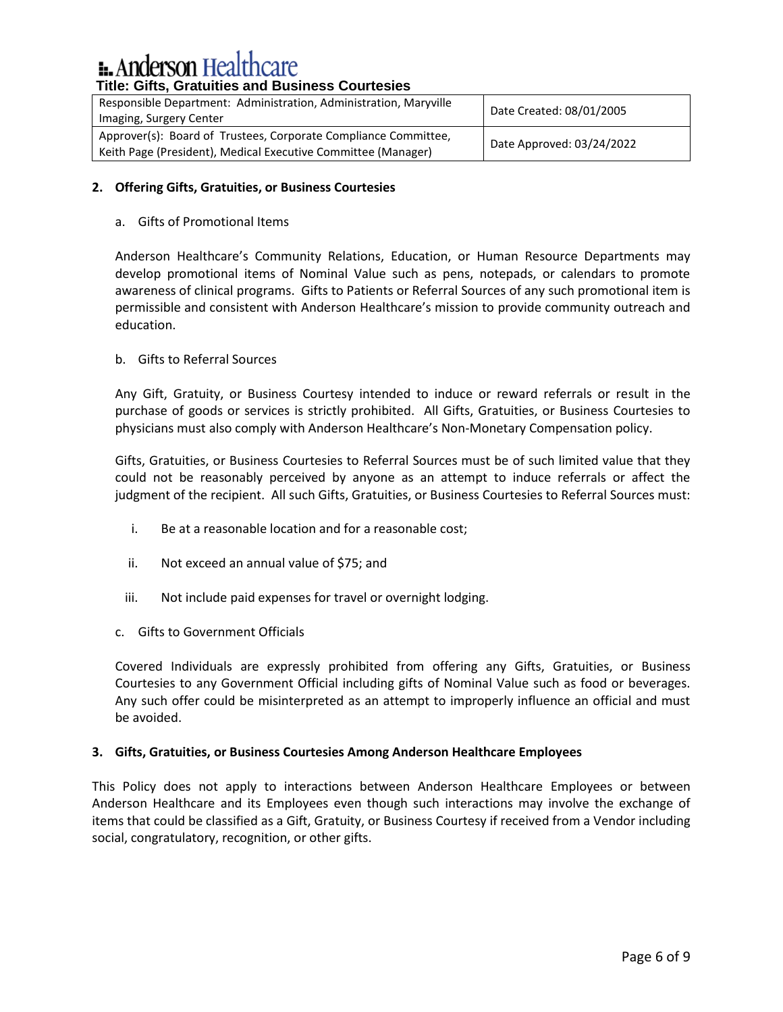| Responsible Department: Administration, Administration, Maryville<br>Imaging, Surgery Center                                     | Date Created: 08/01/2005  |
|----------------------------------------------------------------------------------------------------------------------------------|---------------------------|
| Approver(s): Board of Trustees, Corporate Compliance Committee,<br>Keith Page (President), Medical Executive Committee (Manager) | Date Approved: 03/24/2022 |

# **2. Offering Gifts, Gratuities, or Business Courtesies**

# a. Gifts of Promotional Items

Anderson Healthcare's Community Relations, Education, or Human Resource Departments may develop promotional items of Nominal Value such as pens, notepads, or calendars to promote awareness of clinical programs. Gifts to Patients or Referral Sources of any such promotional item is permissible and consistent with Anderson Healthcare's mission to provide community outreach and education.

# b. Gifts to Referral Sources

Any Gift, Gratuity, or Business Courtesy intended to induce or reward referrals or result in the purchase of goods or services is strictly prohibited. All Gifts, Gratuities, or Business Courtesies to physicians must also comply with Anderson Healthcare's Non-Monetary Compensation policy.

Gifts, Gratuities, or Business Courtesies to Referral Sources must be of such limited value that they could not be reasonably perceived by anyone as an attempt to induce referrals or affect the judgment of the recipient. All such Gifts, Gratuities, or Business Courtesies to Referral Sources must:

- i. Be at a reasonable location and for a reasonable cost;
- ii. Not exceed an annual value of \$75; and
- iii. Not include paid expenses for travel or overnight lodging.
- c. Gifts to Government Officials

Covered Individuals are expressly prohibited from offering any Gifts, Gratuities, or Business Courtesies to any Government Official including gifts of Nominal Value such as food or beverages. Any such offer could be misinterpreted as an attempt to improperly influence an official and must be avoided.

# **3. Gifts, Gratuities, or Business Courtesies Among Anderson Healthcare Employees**

This Policy does not apply to interactions between Anderson Healthcare Employees or between Anderson Healthcare and its Employees even though such interactions may involve the exchange of items that could be classified as a Gift, Gratuity, or Business Courtesy if received from a Vendor including social, congratulatory, recognition, or other gifts.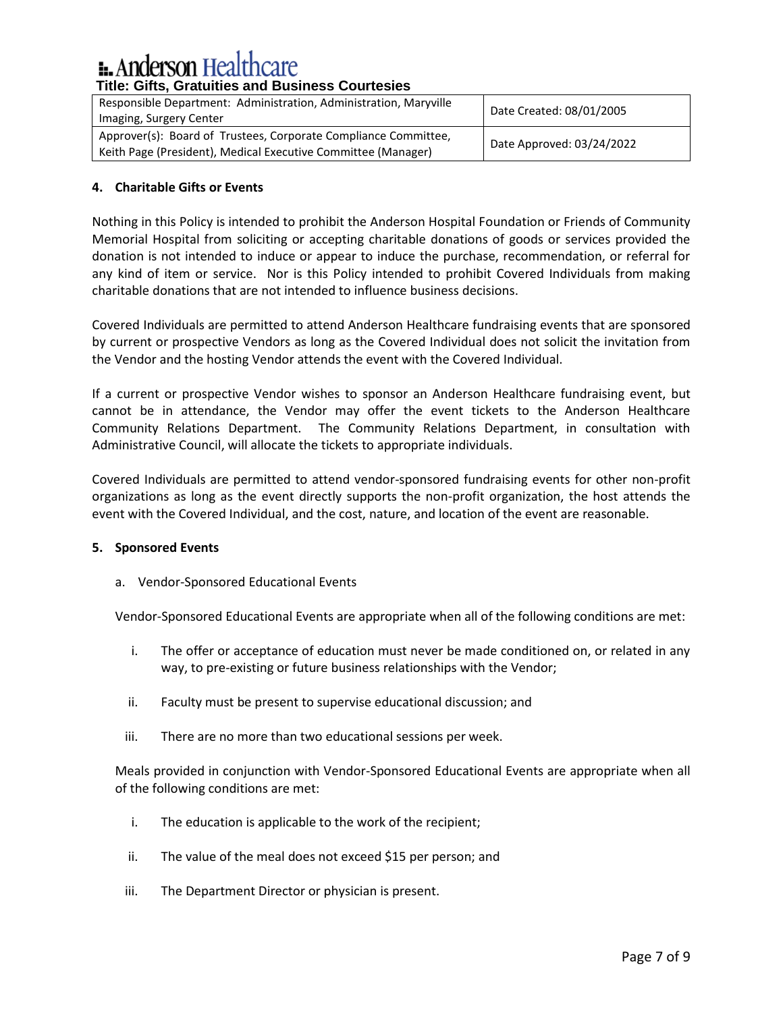# **E.** Anderson Healthcare

| Responsible Department: Administration, Administration, Maryville<br>Imaging, Surgery Center                                     | Date Created: 08/01/2005  |
|----------------------------------------------------------------------------------------------------------------------------------|---------------------------|
| Approver(s): Board of Trustees, Corporate Compliance Committee,<br>Keith Page (President), Medical Executive Committee (Manager) | Date Approved: 03/24/2022 |

# **4. Charitable Gifts or Events**

Nothing in this Policy is intended to prohibit the Anderson Hospital Foundation or Friends of Community Memorial Hospital from soliciting or accepting charitable donations of goods or services provided the donation is not intended to induce or appear to induce the purchase, recommendation, or referral for any kind of item or service. Nor is this Policy intended to prohibit Covered Individuals from making charitable donations that are not intended to influence business decisions.

Covered Individuals are permitted to attend Anderson Healthcare fundraising events that are sponsored by current or prospective Vendors as long as the Covered Individual does not solicit the invitation from the Vendor and the hosting Vendor attends the event with the Covered Individual.

If a current or prospective Vendor wishes to sponsor an Anderson Healthcare fundraising event, but cannot be in attendance, the Vendor may offer the event tickets to the Anderson Healthcare Community Relations Department. The Community Relations Department, in consultation with Administrative Council, will allocate the tickets to appropriate individuals.

Covered Individuals are permitted to attend vendor-sponsored fundraising events for other non-profit organizations as long as the event directly supports the non-profit organization, the host attends the event with the Covered Individual, and the cost, nature, and location of the event are reasonable.

# **5. Sponsored Events**

a. Vendor-Sponsored Educational Events

Vendor-Sponsored Educational Events are appropriate when all of the following conditions are met:

- i. The offer or acceptance of education must never be made conditioned on, or related in any way, to pre-existing or future business relationships with the Vendor;
- ii. Faculty must be present to supervise educational discussion; and
- iii. There are no more than two educational sessions per week.

Meals provided in conjunction with Vendor-Sponsored Educational Events are appropriate when all of the following conditions are met:

- i. The education is applicable to the work of the recipient;
- ii. The value of the meal does not exceed \$15 per person; and
- iii. The Department Director or physician is present.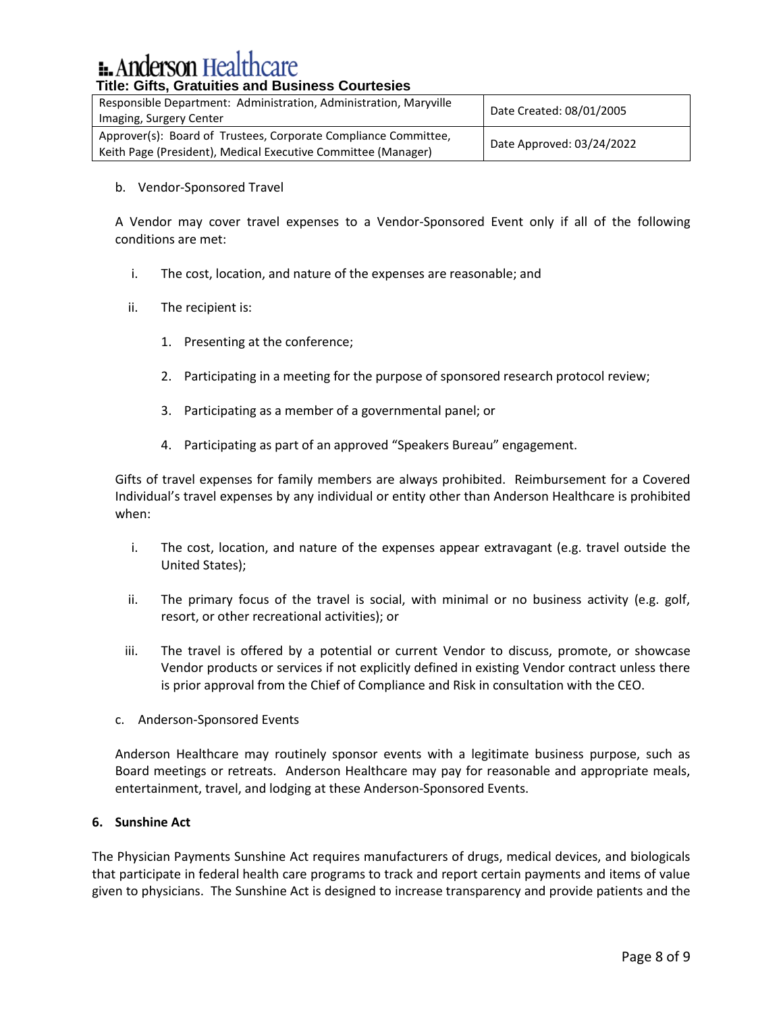| Responsible Department: Administration, Administration, Maryville<br>Imaging, Surgery Center                                     | Date Created: 08/01/2005  |
|----------------------------------------------------------------------------------------------------------------------------------|---------------------------|
| Approver(s): Board of Trustees, Corporate Compliance Committee,<br>Keith Page (President), Medical Executive Committee (Manager) | Date Approved: 03/24/2022 |

### b. Vendor-Sponsored Travel

A Vendor may cover travel expenses to a Vendor-Sponsored Event only if all of the following conditions are met:

- i. The cost, location, and nature of the expenses are reasonable; and
- ii. The recipient is:
	- 1. Presenting at the conference;
	- 2. Participating in a meeting for the purpose of sponsored research protocol review;
	- 3. Participating as a member of a governmental panel; or
	- 4. Participating as part of an approved "Speakers Bureau" engagement.

Gifts of travel expenses for family members are always prohibited. Reimbursement for a Covered Individual's travel expenses by any individual or entity other than Anderson Healthcare is prohibited when:

- i. The cost, location, and nature of the expenses appear extravagant (e.g. travel outside the United States);
- ii. The primary focus of the travel is social, with minimal or no business activity (e.g. golf, resort, or other recreational activities); or
- iii. The travel is offered by a potential or current Vendor to discuss, promote, or showcase Vendor products or services if not explicitly defined in existing Vendor contract unless there is prior approval from the Chief of Compliance and Risk in consultation with the CEO.
- c. Anderson-Sponsored Events

Anderson Healthcare may routinely sponsor events with a legitimate business purpose, such as Board meetings or retreats. Anderson Healthcare may pay for reasonable and appropriate meals, entertainment, travel, and lodging at these Anderson-Sponsored Events.

# **6. Sunshine Act**

The Physician Payments Sunshine Act requires manufacturers of drugs, medical devices, and biologicals that participate in federal health care programs to track and report certain payments and items of value given to physicians. The Sunshine Act is designed to increase transparency and provide patients and the